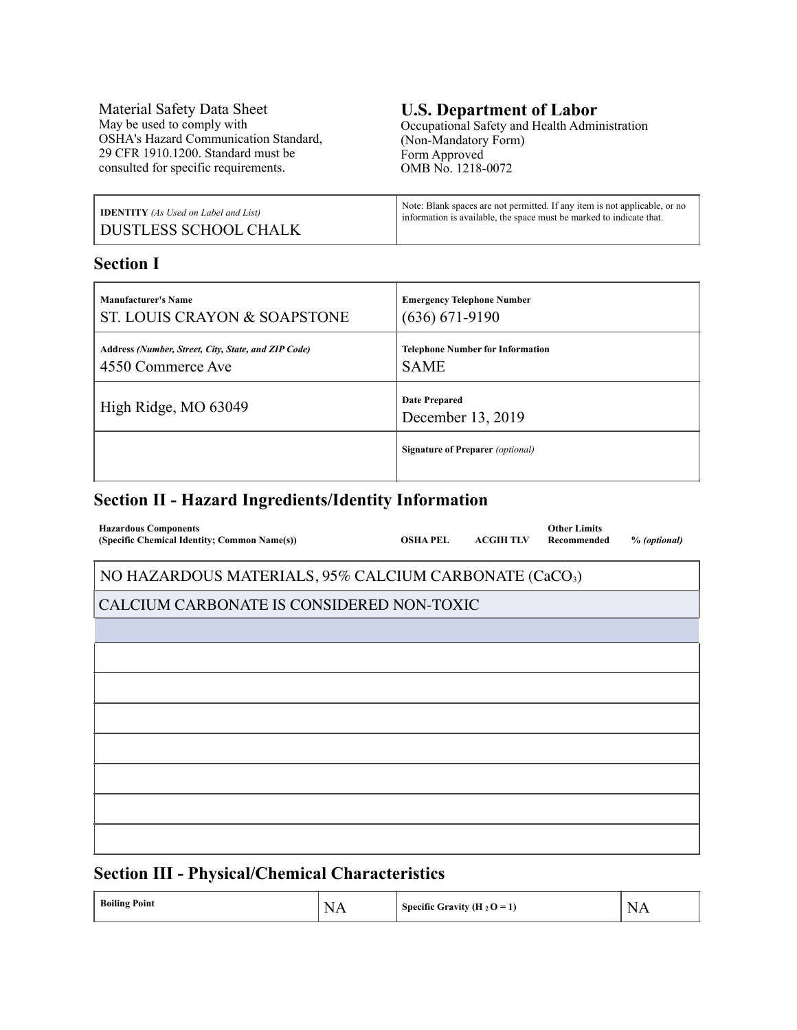Material Safety Data Sheet May be used to comply with OSHA's Hazard Communication Standard, 29 CFR 1910.1200. Standard must be consulted for specific requirements.

### **U.S. Department of Labor** Occupational Safety and Health Administration

(Non-Mandatory Form) Form Approved OMB No. 1218-0072

| <b>IDENTITY</b> (As Used on Label and List) | Note: Blank spaces are not permitted. If any item is not applicable, or no |
|---------------------------------------------|----------------------------------------------------------------------------|
| DUSTLESS SCHOOL CHALK                       | information is available, the space must be marked to indicate that.       |

### **Section I**

| Manufacturer's Name                                 | <b>Emergency Telephone Number</b>         |
|-----------------------------------------------------|-------------------------------------------|
| ST. LOUIS CRAYON & SOAPSTONE                        | $(636) 671-9190$                          |
| Address (Number, Street, City, State, and ZIP Code) | <b>Telephone Number for Information</b>   |
| 4550 Commerce Ave                                   | <b>SAME</b>                               |
| High Ridge, MO 63049                                | <b>Date Prepared</b><br>December 13, 2019 |
|                                                     | <b>Signature of Preparer</b> (optional)   |

### **Section II - Hazard Ingredients/Identity Information**

| <b>Hazardous Components</b><br>(Specific Chemical Identity; Common Name(s)) | <b>OSHA PEL</b> | <b>ACGIH TLV</b> | <b>Other Limits</b><br>Recommended | % (optional) |
|-----------------------------------------------------------------------------|-----------------|------------------|------------------------------------|--------------|
| NO HAZARDOUS MATERIALS, 95% CALCIUM CARBONATE (CaCO <sub>3</sub> )          |                 |                  |                                    |              |
| CALCIUM CARBONATE IS CONSIDERED NON-TOXIC                                   |                 |                  |                                    |              |
|                                                                             |                 |                  |                                    |              |
|                                                                             |                 |                  |                                    |              |
|                                                                             |                 |                  |                                    |              |
|                                                                             |                 |                  |                                    |              |
|                                                                             |                 |                  |                                    |              |
|                                                                             |                 |                  |                                    |              |
|                                                                             |                 |                  |                                    |              |
|                                                                             |                 |                  |                                    |              |
|                                                                             |                 |                  |                                    |              |

### **Section III - Physical/Chemical Characteristics**

| <b>Boiling Point</b><br>$\mathbf N$<br>Specific Gravity (H <sub>2</sub> O = 1)<br>-N.<br>Δ<br>$\sqrt{ }$<br>the contract of the contract of the contract of |  |
|-------------------------------------------------------------------------------------------------------------------------------------------------------------|--|
|-------------------------------------------------------------------------------------------------------------------------------------------------------------|--|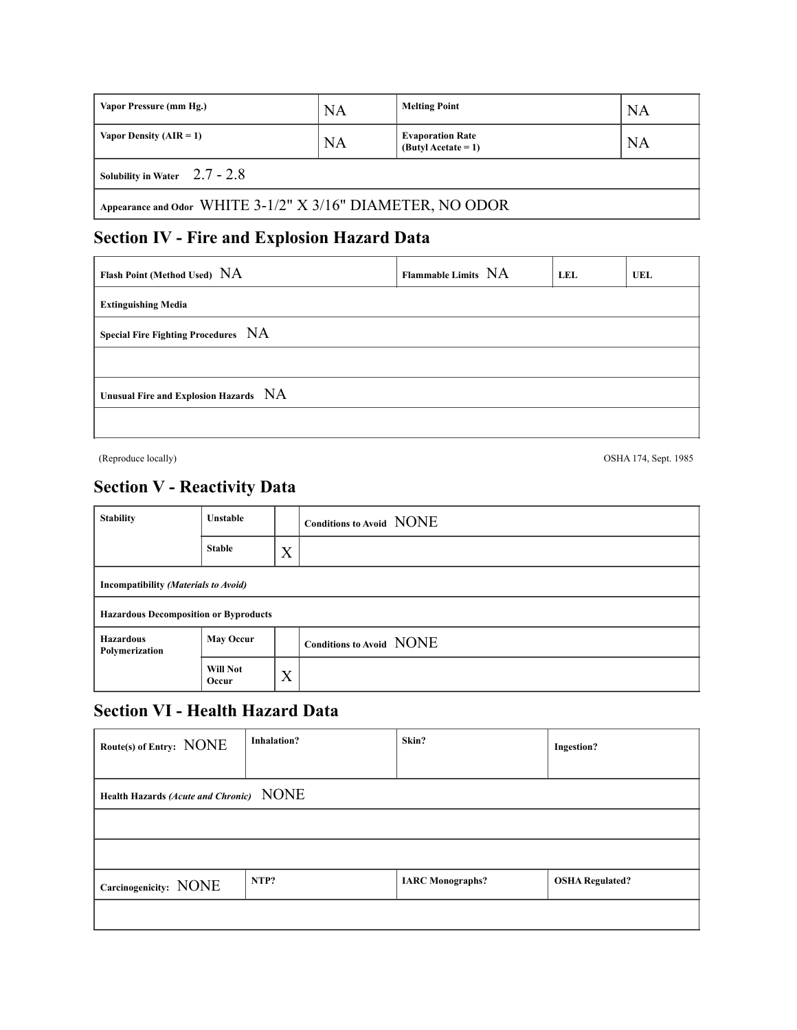| Vapor Pressure (mm Hg.)                                    | <b>NA</b> | <b>Melting Point</b>                                   | <b>NA</b> |  |
|------------------------------------------------------------|-----------|--------------------------------------------------------|-----------|--|
| Vapor Density ( $AIR = 1$ )                                | <b>NA</b> | <b>Evaporation Rate</b><br>$\left($ Butyl Acetate = 1) | <b>NA</b> |  |
| Solubility in Water $2.7 - 2.8$                            |           |                                                        |           |  |
| Appearance and Odor WHITE 3-1/2" X 3/16" DIAMETER, NO ODOR |           |                                                        |           |  |

# **Section IV - Fire and Explosion Hazard Data**

| Flash Point (Method Used) NA          | Flammable Limits NA | LEL | UEL |  |
|---------------------------------------|---------------------|-----|-----|--|
| <b>Extinguishing Media</b>            |                     |     |     |  |
| Special Fire Fighting Procedures NA   |                     |     |     |  |
|                                       |                     |     |     |  |
| Unusual Fire and Explosion Hazards NA |                     |     |     |  |
|                                       |                     |     |     |  |

(Reproduce locally) OSHA 174, Sept. 1985

## **Section V - Reactivity Data**

| <b>Stability</b>                             | <b>Unstable</b>          |   | Conditions to Avoid NONE |
|----------------------------------------------|--------------------------|---|--------------------------|
|                                              | <b>Stable</b>            | X |                          |
| Incompatibility (Materials to Avoid)         |                          |   |                          |
| <b>Hazardous Decomposition or Byproducts</b> |                          |   |                          |
| <b>Hazardous</b><br>Polymerization           | <b>May Occur</b>         |   | Conditions to Avoid NONE |
|                                              | <b>Will Not</b><br>Occur | X |                          |

### **Section VI - Health Hazard Data**

| Route(s) of Entry: NONE                 | <b>Inhalation?</b> | Skin?                   | <b>Ingestion?</b>      |
|-----------------------------------------|--------------------|-------------------------|------------------------|
| Health Hazards (Acute and Chronic) NONE |                    |                         |                        |
|                                         |                    |                         |                        |
|                                         |                    |                         |                        |
| Carcinogenicity: NONE                   | NTP?               | <b>IARC</b> Monographs? | <b>OSHA Regulated?</b> |
|                                         |                    |                         |                        |